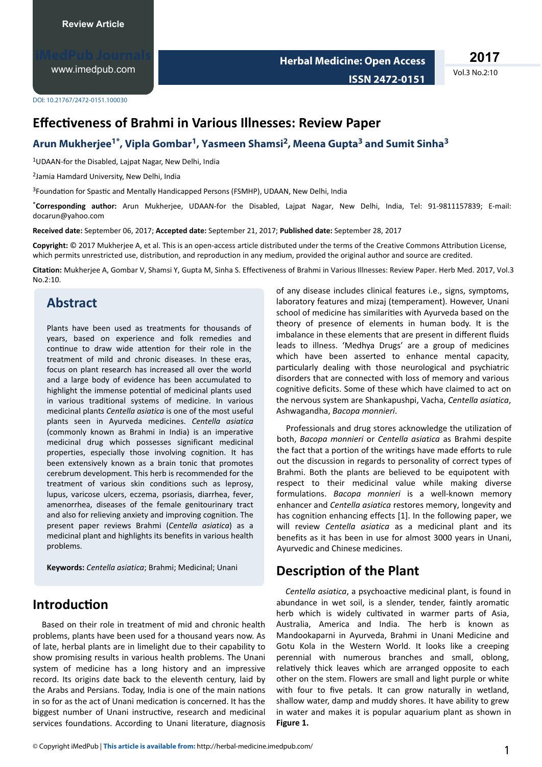[www.imedpub.com](http://www.imedpub.com/)

**2017**

Vol.3 No.2:10

DOI: 10.21767/2472-0151.100030

## **Effectiveness of Brahmi in Various Illnesses: Review Paper**

#### **Arun Mukherjee1\* , Vipla Gombar<sup>1</sup> , Yasmeen Shamsi<sup>2</sup> , Meena Gupta<sup>3</sup> and Sumit Sinha<sup>3</sup>**

<sup>1</sup>UDAAN-for the Disabled, Lajpat Nagar, New Delhi, India

2 Jamia Hamdard University, New Delhi, India

<sup>3</sup>Foundation for Spastic and Mentally Handicapped Persons (FSMHP), UDAAN, New Delhi, India

\***Corresponding author:** Arun Mukherjee, UDAAN-for the Disabled, Lajpat Nagar, New Delhi, India, Tel: 91-9811157839; E-mail: docarun@yahoo.com

**Received date:** September 06, 2017; **Accepted date:** September 21, 2017; **Published date:** September 28, 2017

**Copyright:** © 2017 Mukheriee A, et al. This is an open-access article distributed under the terms of the Creative Commons Attribution License, which permits unrestricted use, distribution, and reproduction in any medium, provided the original author and source are credited.

Citation: Mukherjee A, Gombar V, Shamsi Y, Gupta M, Sinha S. Effectiveness of Brahmi in Various Illnesses: Review Paper. Herb Med. 2017, Vol.3 No.2:10.

### **Abstract**

Plants have been used as treatments for thousands of years, based on experience and folk remedies and continue to draw wide attention for their role in the treatment of mild and chronic diseases. In these eras, focus on plant research has increased all over the world and a large body of evidence has been accumulated to highlight the immense potential of medicinal plants used in various traditional systems of medicine. In various medicinal plants *Centella asiatica* is one of the most useful plants seen in Ayurveda medicines. *Centella asiatica* (commonly known as Brahmi in India) is an imperative medicinal drug which possesses significant medicinal properties, especially those involving cognition. It has been extensively known as a brain tonic that promotes cerebrum development. This herb is recommended for the treatment of various skin conditions such as leprosy, lupus, varicose ulcers, eczema, psoriasis, diarrhea, fever, amenorrhea, diseases of the female genitourinary tract and also for relieving anxiety and improving cognition. The present paper reviews Brahmi (*Centella asiatica*Ϳ as a medicinal plant and highlights its benefits in various health problems.

**Keywords:** *Centella asiatica*͖ Brahmi; Medicinal; Unani

## **Introduction**

Based on their role in treatment of mid and chronic health problems, plants have been used for a thousand years now. As of late, herbal plants are in limelight due to their capability to show promising results in various health problems. The Unani system of medicine has a long history and an impressive record. Its origins date back to the eleventh century, laid by the Arabs and Persians. Today, India is one of the main nations in so for as the act of Unani medication is concerned. It has the biggest number of Unani instructive, research and medicinal services foundations. According to Unani literature, diagnosis of any disease includes clinical features i.e., signs, symptoms, laboratory features and mizaj (temperament). However, Unani school of medicine has similarities with Ayurveda based on the theory of presence of elements in human body. It is the imbalance in these elements that are present in different fluids leads to illness. 'Medhya Drugs' are a group of medicines which have been asserted to enhance mental capacity, particularly dealing with those neurological and psychiatric disorders that are connected with loss of memory and various cognitive deficits. Some of these which have claimed to act on the nervous system are Shankapushpi, Vacha, *Centella asiatica*͕ Ashwagandha, *Bacopa monnieri*.

Professionals and drug stores acknowledge the utilization of both, *Bacopa monnieri* or *Centella asiatica* as Brahmi despite the fact that a portion of the writings have made efforts to rule out the discussion in regards to personality of correct types of Brahmi. Both the plants are believed to be equipotent with respect to their medicinal value while making diverse formulations. *Bacopa monnieri* is a well-known memory enhancer and *Centella asiatica* restores memory, longevity and has cognition enhancing effects [1]. In the following paper, we will review *Centella asiatica* as a medicinal plant and its benefits as it has been in use for almost 3000 years in Unani, Ayurvedic and Chinese medicines.

### **Description of the Plant**

*Centella asiatica*, a psychoactive medicinal plant, is found in abundance in wet soil, is a slender, tender, faintly aromatic herb which is widely cultivated in warmer parts of Asia, Australia, America and India. The herb is known as Mandookaparni in Ayurveda, Brahmi in Unani Medicine and Gotu Kola in the Western World. It looks like a creeping perennial with numerous branches and small, oblong, relatively thick leaves which are arranged opposite to each other on the stem. Flowers are small and light purple or white with four to five petals. It can grow naturally in wetland, shallow water, damp and muddy shores. It have ability to grew in water and makes it is popular aquarium plant as shown in **Figure 1.**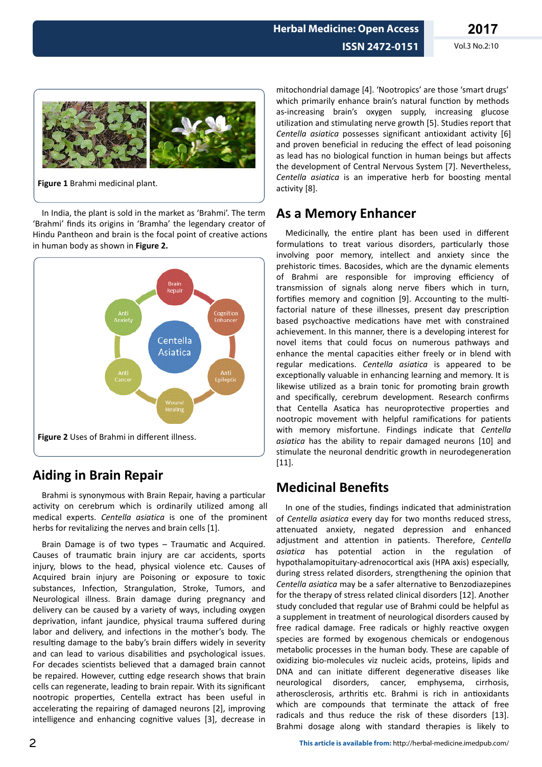

**Figure 1** Brahmi medicinal plant.

In India, the plant is sold in the market as 'Brahmi'. The term 'Brahmi' finds its origins in 'Bramha' the legendary creator of Hindu Pantheon and brain is the focal point of creative actions in human body as shown in **Figure 2.**



## **Aiding in Brain Repair**

Brahmi is synonymous with Brain Repair, having a particular activity on cerebrum which is ordinarily utilized among all medical experts. *Centella asiatica* is one of the prominent herbs for revitalizing the nerves and brain cells [1].

Brain Damage is of two types – Traumatic and Acquired. Causes of traumatic brain injury are car accidents, sports injury, blows to the head, physical violence etc. Causes of Acquired brain injury are Poisoning or exposure to toxic substances, Infection, Strangulation, Stroke, Tumors, and Neurological illness. Brain damage during pregnancy and delivery can be caused by a variety of ways, including oxygen deprivation, infant jaundice, physical trauma suffered during labor and delivery, and infections in the mother's body. The resulting damage to the baby's brain differs widely in severity and can lead to various disabilities and psychological issues. For decades scientists believed that a damaged brain cannot be repaired. However, cutting edge research shows that brain cells can regenerate, leading to brain repair. With its significant nootropic properties, Centella extract has been useful in accelerating the repairing of damaged neurons [2], improving intelligence and enhancing cognitive values [3], decrease in

mitochondrial damage [4]. 'Nootropics' are those 'smart drugs' which primarily enhance brain's natural function by methods as-increasing brain's oxygen supply, increasing glucose utilization and stimulating nerve growth [5]. Studies report that *Centella asiatica* possesses significant antioxidant activity [6] and proven beneficial in reducing the effect of lead poisoning as lead has no biological function in human beings but affects the development of Central Nervous System [7]. Nevertheless, *Centella asiatica* is an imperative herb for boosting mental activity [8].

## **As a Memory Enhancer**

Medicinally, the entire plant has been used in different formulations to treat various disorders, particularly those involving poor memory, intellect and anxiety since the prehistoric times. Bacosides, which are the dynamic elements of Brahmi are responsible for improving efficiency of transmission of signals along nerve fibers which in turn, fortifies memory and cognition [9]. Accounting to the multifactorial nature of these illnesses, present day prescription based psychoactive medications have met with constrained achievement. In this manner, there is a developing interest for novel items that could focus on numerous pathways and enhance the mental capacities either freely or in blend with regular medications. Centella asiatica is appeared to be exceptionally valuable in enhancing learning and memory. It is likewise utilized as a brain tonic for promoting brain growth and specifically, cerebrum development. Research confirms that Centella Asatica has neuroprotective properties and nootropic movement with helpful ramifications for patients with memory misfortune. Findings indicate that *Centella asiatica* has the ability to repair damaged neurons [10] and stimulate the neuronal dendritic growth in neurodegeneration [11].

# **Medicinal Benefits**

In one of the studies, findings indicated that administration of *Centella asiatica* every day for two months reduced stress, attenuated anxiety, negated depression and enhanced adjustment and attention in patients. Therefore, *Centella* asiatica has potential action in the regulation of hypothalamopituitary-adrenocortical axis (HPA axis) especially, during stress related disorders, strengthening the opinion that *Centella asiatica* may be a safer alternative to Benzodiazepines for the therapy of stress related clinical disorders [12]. Another study concluded that regular use of Brahmi could be helpful as a supplement in treatment of neurological disorders caused by free radical damage. Free radicals or highly reactive oxygen species are formed by exogenous chemicals or endogenous metabolic processes in the human body. These are capable of oxidizing bio-molecules viz nucleic acids, proteins, lipids and DNA and can initiate different degenerative diseases like neurological disorders, cancer, emphysema, cirrhosis, atherosclerosis, arthritis etc. Brahmi is rich in antioxidants which are compounds that terminate the attack of free radicals and thus reduce the risk of these disorders [13]. Brahmi dosage along with standard therapies is likely to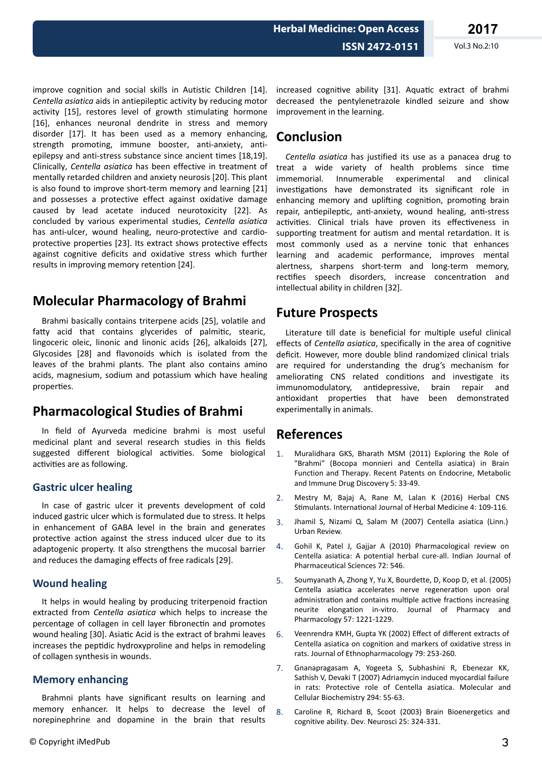increased cognitive ability [31]. Aquatic extract of brahmi decreased the pentylenetrazole kindled seizure and show

# **Conclusion**

improvement in the learning.

*Centella asiatica* has justified its use as a panacea drug to treat a wide variety of health problems since time immemorial. Innumerable experimental and clinical investigations have demonstrated its significant role in enhancing memory and uplifting cognition, promoting brain repair, antiepileptic, anti-anxiety, wound healing, anti-stress activities. Clinical trials have proven its effectiveness in supporting treatment for autism and mental retardation. It is most commonly used as a nervine tonic that enhances learning and academic performance, improves mental alertness, sharpens short-term and long-term memory, rectifies speech disorders, increase concentration and intellectual ability in children [32].

## **Future Prospects**

Literature till date is beneficial for multiple useful clinical effects of *Centella asiatica*, specifically in the area of cognitive deficit. However, more double blind randomized clinical trials are required for understanding the drug's mechanism for ameliorating CNS related conditions and investigate its immunomodulatory, antidepressive, brain repair and antioxidant properties that have been demonstrated experimentally in animals.

## **References**

- 1. Muralidhara GKS, Bharath MSM (2011) Exploring the Role of "Brahmi" (Bocopa monnieri and Centella asiatica) in Brain Function and Therapy. Recent Patents on Endocrine, Metabolic and Immune Drug Discovery 5: 33-49.
- 2. Mestry M, Bajaj A, Rane M, Lalan K (2016) Herbal CNS Stimulants. International Journal of Herbal Medicine 4: 109-116.
- 3. Jhamil S, Nizami Q, Salam M (2007) Centella asiatica (Linn.) Urban Review.
- 4. Gohil K, Patel J, Gajjar A (2010) Pharmacological review on Centella asiatica: A potential herbal cure-all. Indian Journal of Pharmaceutical Sciences 72: 546.
- 5. Soumyanath A, Zhong Y, Yu X, Bourdette, D, Koop D, et al. (2005) Centella asiatica accelerates nerve regeneration upon oral administration and contains multiple active fractions increasing neurite elongation in-vitro. Journal of Pharmacy and Pharmacology 57: 1221-1229.
- 6. Veenrendra KMH, Gupta YK (2002) Effect of different extracts of Centella asiatica on cognition and markers of oxidative stress in rats. Journal of Ethnopharmacology 79: 253-260.
- 7. Gnanapragasam A, Yogeeta S, Subhashini R, Ebenezar KK, Sathish V, Devaki T (2007) Adriamycin induced myocardial failure in rats: Protective role of Centella asiatica. Molecular and Cellular Biochemistry 294: 55-63.
- 8. Caroline R, Richard B, Scoot (2003) Brain Bioenergetics and cognitive ability. Dev. Neurosci 25: 324-331.

improve cognition and social skills in Autistic Children [14]. *Centella asiatica* aids in antiepileptic activity by reducing motor activity [15], restores level of growth stimulating hormone [16], enhances neuronal dendrite in stress and memory disorder [17]. It has been used as a memory enhancing, strength promoting, immune booster, anti-anxiety, antiepilepsy and anti-stress substance since ancient times [18,19]. Clinically, *Centella asiatica* has been effective in treatment of mentally retarded children and anxiety neurosis [20]. This plant is also found to improve short-term memory and learning [21] and possesses a protective effect against oxidative damage caused by lead acetate induced neurotoxicity [22]. As concluded by various experimental studies, *Centella asiatica* has anti-ulcer, wound healing, neuro-protective and cardioprotective properties [23]. Its extract shows protective effects against cognitive deficits and oxidative stress which further results in improving memory retention [24].

# **Molecular Pharmacology of Brahmi**

Brahmi basically contains triterpene acids [25], volatile and fatty acid that contains glycerides of palmitic, stearic, lingoceric oleic, linonic and linonic acids [26], alkaloids [27], Glycosides [28] and flavonoids which is isolated from the leaves of the brahmi plants. The plant also contains amino acids, magnesium, sodium and potassium which have healing properties.

# **Pharmacological Studies of Brahmi**

In field of Ayurveda medicine brahmi is most useful medicinal plant and several research studies in this fields suggested different biological activities. Some biological activities are as following.

### **Gastric ulcer healing**

In case of gastric ulcer it prevents development of cold induced gastric ulcer which is formulated due to stress. It helps in enhancement of GABA level in the brain and generates protective action against the stress induced ulcer due to its adaptogenic property. It also strengthens the mucosal barrier and reduces the damaging effects of free radicals [29].

### **Wound healing**

It helps in would healing by producing triterpenoid fraction extracted from *Centella asiatica* which helps to increase the percentage of collagen in cell layer fibronectin and promotes wound healing [30]. Asiatic Acid is the extract of brahmi leaves increases the peptidic hydroxyproline and helps in remodeling of collagen synthesis in wounds.

### **Memory enhancing**

Brahmni plants have significant results on learning and memory enhancer. It helps to decrease the level of norepinephrine and dopamine in the brain that results